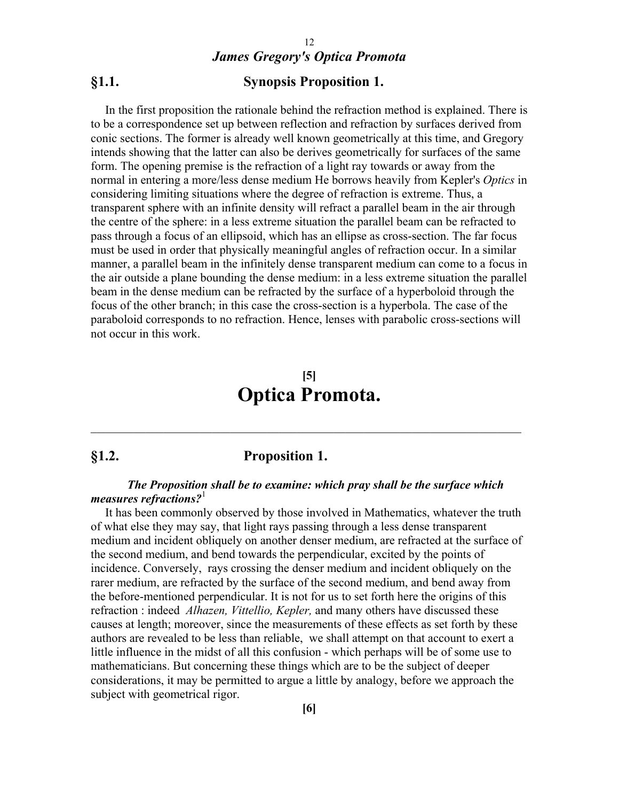### **§1.1. Synopsis Proposition 1.**

In the first proposition the rationale behind the refraction method is explained. There is to be a correspondence set up between reflection and refraction by surfaces derived from conic sections. The former is already well known geometrically at this time, and Gregory intends showing that the latter can also be derives geometrically for surfaces of the same form. The opening premise is the refraction of a light ray towards or away from the normal in entering a more/less dense medium He borrows heavily from Kepler's *Optics* in considering limiting situations where the degree of refraction is extreme. Thus, a transparent sphere with an infinite density will refract a parallel beam in the air through the centre of the sphere: in a less extreme situation the parallel beam can be refracted to pass through a focus of an ellipsoid, which has an ellipse as cross-section. The far focus must be used in order that physically meaningful angles of refraction occur. In a similar manner, a parallel beam in the infinitely dense transparent medium can come to a focus in the air outside a plane bounding the dense medium: in a less extreme situation the parallel beam in the dense medium can be refracted by the surface of a hyperboloid through the focus of the other branch; in this case the cross-section is a hyperbola. The case of the paraboloid corresponds to no refraction. Hence, lenses with parabolic cross-sections will not occur in this work.

# **[5] Optica Promota.**

 $\_$  , and the set of the set of the set of the set of the set of the set of the set of the set of the set of the set of the set of the set of the set of the set of the set of the set of the set of the set of the set of th

### **§1.2. Proposition 1.**

### *The Proposition shall be to examine: which pray shall be the surface which measures refractions?*<sup>1</sup>

It has been commonly observed by those involved in Mathematics, whatever the truth of what else they may say, that light rays passing through a less dense transparent medium and incident obliquely on another denser medium, are refracted at the surface of the second medium, and bend towards the perpendicular, excited by the points of incidence. Conversely, rays crossing the denser medium and incident obliquely on the rarer medium, are refracted by the surface of the second medium, and bend away from the before-mentioned perpendicular. It is not for us to set forth here the origins of this refraction : indeed *Alhazen, Vittellio, Kepler,* and many others have discussed these causes at length; moreover, since the measurements of these effects as set forth by these authors are revealed to be less than reliable, we shall attempt on that account to exert a little influence in the midst of all this confusion - which perhaps will be of some use to mathematicians. But concerning these things which are to be the subject of deeper considerations, it may be permitted to argue a little by analogy, before we approach the subject with geometrical rigor.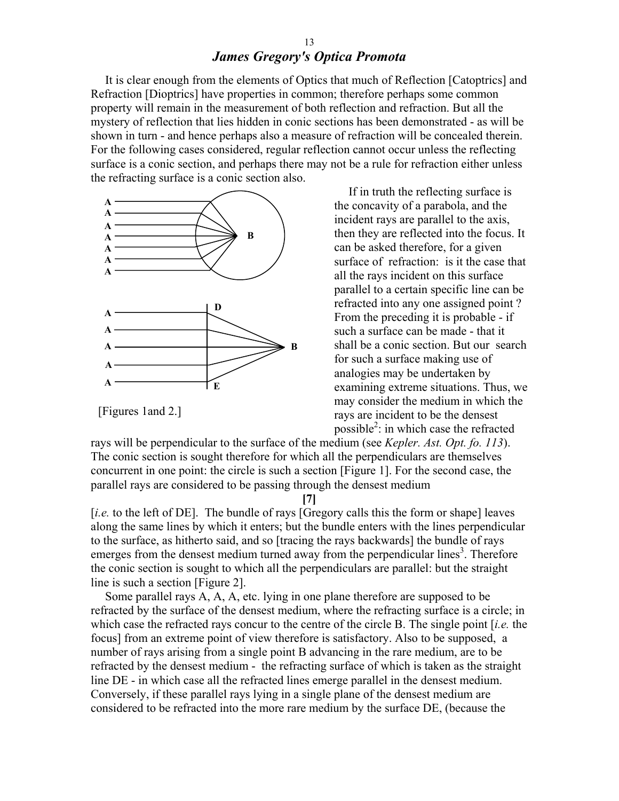It is clear enough from the elements of Optics that much of Reflection [Catoptrics] and Refraction [Dioptrics] have properties in common; therefore perhaps some common property will remain in the measurement of both reflection and refraction. But all the mystery of reflection that lies hidden in conic sections has been demonstrated - as will be shown in turn - and hence perhaps also a measure of refraction will be concealed therein. For the following cases considered, regular reflection cannot occur unless the reflecting surface is a conic section, and perhaps there may not be a rule for refraction either unless the refracting surface is a conic section also.



[Figures 1and 2.]

If in truth the reflecting surface is the concavity of a parabola, and the incident rays are parallel to the axis, then they are reflected into the focus. It can be asked therefore, for a given surface of refraction: is it the case that all the rays incident on this surface parallel to a certain specific line can be refracted into any one assigned point ? From the preceding it is probable - if such a surface can be made - that it shall be a conic section. But our search for such a surface making use of analogies may be undertaken by examining extreme situations. Thus, we may consider the medium in which the rays are incident to be the densest possible<sup>2</sup>: in which case the refracted

rays will be perpendicular to the surface of the medium (see *Kepler. Ast. Opt. fo. 113*). The conic section is sought therefore for which all the perpendiculars are themselves concurrent in one point: the circle is such a section [Figure 1]. For the second case, the parallel rays are considered to be passing through the densest medium

**[7]**

[*i.e.* to the left of DE]. The bundle of rays [Gregory calls this the form or shape] leaves along the same lines by which it enters; but the bundle enters with the lines perpendicular to the surface, as hitherto said, and so [tracing the rays backwards] the bundle of rays emerges from the densest medium turned away from the perpendicular lines<sup>3</sup>. Therefore the conic section is sought to which all the perpendiculars are parallel: but the straight line is such a section [Figure 2].

Some parallel rays A, A, A, etc. lying in one plane therefore are supposed to be refracted by the surface of the densest medium, where the refracting surface is a circle; in which case the refracted rays concur to the centre of the circle B. The single point [*i.e.* the focus] from an extreme point of view therefore is satisfactory. Also to be supposed, a number of rays arising from a single point B advancing in the rare medium, are to be refracted by the densest medium - the refracting surface of which is taken as the straight line DE - in which case all the refracted lines emerge parallel in the densest medium. Conversely, if these parallel rays lying in a single plane of the densest medium are considered to be refracted into the more rare medium by the surface DE, (because the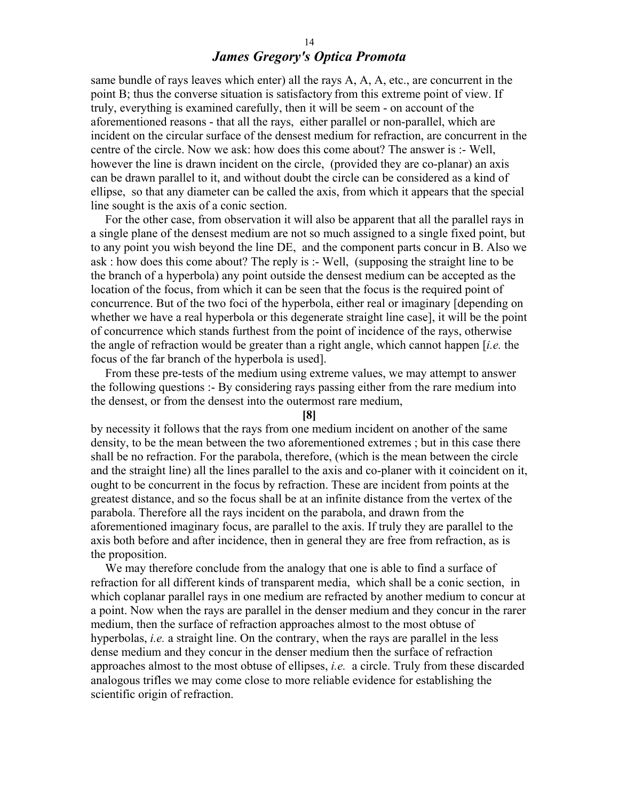same bundle of rays leaves which enter) all the rays A, A, A, etc., are concurrent in the point B; thus the converse situation is satisfactory from this extreme point of view. If truly, everything is examined carefully, then it will be seem - on account of the aforementioned reasons - that all the rays, either parallel or non-parallel, which are incident on the circular surface of the densest medium for refraction, are concurrent in the centre of the circle. Now we ask: how does this come about? The answer is :- Well, however the line is drawn incident on the circle, (provided they are co-planar) an axis can be drawn parallel to it, and without doubt the circle can be considered as a kind of ellipse, so that any diameter can be called the axis, from which it appears that the special line sought is the axis of a conic section.

For the other case, from observation it will also be apparent that all the parallel rays in a single plane of the densest medium are not so much assigned to a single fixed point, but to any point you wish beyond the line DE, and the component parts concur in B. Also we ask : how does this come about? The reply is :- Well, (supposing the straight line to be the branch of a hyperbola) any point outside the densest medium can be accepted as the location of the focus, from which it can be seen that the focus is the required point of concurrence. But of the two foci of the hyperbola, either real or imaginary [depending on whether we have a real hyperbola or this degenerate straight line case], it will be the point of concurrence which stands furthest from the point of incidence of the rays, otherwise the angle of refraction would be greater than a right angle, which cannot happen [*i.e.* the focus of the far branch of the hyperbola is used].

From these pre-tests of the medium using extreme values, we may attempt to answer the following questions :- By considering rays passing either from the rare medium into the densest, or from the densest into the outermost rare medium,

**[8]**

by necessity it follows that the rays from one medium incident on another of the same density, to be the mean between the two aforementioned extremes ; but in this case there shall be no refraction. For the parabola, therefore, (which is the mean between the circle and the straight line) all the lines parallel to the axis and co-planer with it coincident on it, ought to be concurrent in the focus by refraction. These are incident from points at the greatest distance, and so the focus shall be at an infinite distance from the vertex of the parabola. Therefore all the rays incident on the parabola, and drawn from the aforementioned imaginary focus, are parallel to the axis. If truly they are parallel to the axis both before and after incidence, then in general they are free from refraction, as is the proposition.

We may therefore conclude from the analogy that one is able to find a surface of refraction for all different kinds of transparent media, which shall be a conic section, in which coplanar parallel rays in one medium are refracted by another medium to concur at a point. Now when the rays are parallel in the denser medium and they concur in the rarer medium, then the surface of refraction approaches almost to the most obtuse of hyperbolas, *i.e.* a straight line. On the contrary, when the rays are parallel in the less dense medium and they concur in the denser medium then the surface of refraction approaches almost to the most obtuse of ellipses, *i.e.* a circle. Truly from these discarded analogous trifles we may come close to more reliable evidence for establishing the scientific origin of refraction.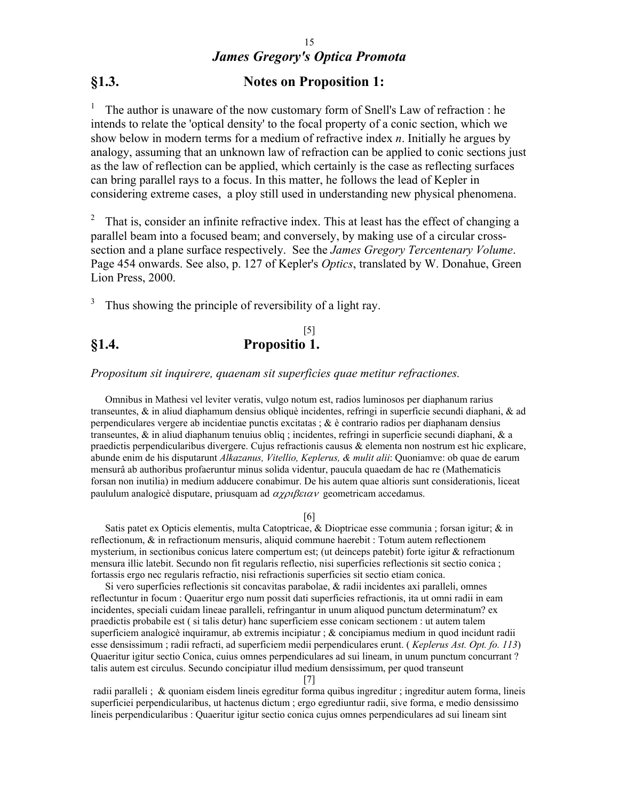# **§1.3. Notes on Proposition 1:**

<sup>1</sup> The author is unaware of the now customary form of Snell's Law of refraction : he intends to relate the 'optical density' to the focal property of a conic section, which we show below in modern terms for a medium of refractive index *n*. Initially he argues by analogy, assuming that an unknown law of refraction can be applied to conic sections just as the law of reflection can be applied, which certainly is the case as reflecting surfaces can bring parallel rays to a focus. In this matter, he follows the lead of Kepler in considering extreme cases, a ploy still used in understanding new physical phenomena.

That is, consider an infinite refractive index. This at least has the effect of changing a parallel beam into a focused beam; and conversely, by making use of a circular crosssection and a plane surface respectively. See the *James Gregory Tercentenary Volume*. Page 454 onwards. See also, p. 127 of Kepler's *Optics*, translated by W. Donahue, Green Lion Press, 2000.

 $3$  Thus showing the principle of reversibility of a light ray.

### [5] **§1.4. Propositio 1.**

*Propositum sit inquirere, quaenam sit superficies quae metitur refractiones.*

Omnibus in Mathesi vel leviter veratis, vulgo notum est, radios luminosos per diaphanum rarius transeuntes, & in aliud diaphamum densius obliquè incidentes, refringi in superficie secundi diaphani, & ad perpendiculares vergere ab incidentiae punctis excitatas ; & è contrario radios per diaphanam densius transeuntes,  $\&$  in aliud diaphanum tenuius obliq ; incidentes, refringi in superficie secundi diaphani,  $\&$  a praedictis perpendicularibus divergere. Cujus refractionis causus & elementa non nostrum est hic explicare, abunde enim de his disputarunt *Alkazanus, Vitellio, Keplerus, & mulit alii*: Quoniamve: ob quae de earum mensurâ ab authoribus profaeruntur minus solida videntur, paucula quaedam de hac re (Mathematicis forsan non inutilia) in medium adducere conabimur. De his autem quae altioris sunt considerationis, liceat paululum analogicè disputare, priusquam ad  $\alpha \chi \rho_l \beta \epsilon_l \alpha \nu$  geometricam accedamus.

### [6]

Satis patet ex Opticis elementis, multa Catoptricae, & Dioptricae esse communia ; forsan igitur; & in reflectionum, & in refractionum mensuris, aliquid commune haerebit : Totum autem reflectionem mysterium, in sectionibus conicus latere compertum est; (ut deinceps patebit) forte igitur & refractionum mensura illic latebit. Secundo non fit regularis reflectio, nisi superficies reflectionis sit sectio conica ; fortassis ergo nec regularis refractio, nisi refractionis superficies sit sectio etiam conica.

Si vero superficies reflectionis sit concavitas parabolae, & radii incidentes axi paralleli, omnes reflectuntur in focum : Quaeritur ergo num possit dati superficies refractionis, ita ut omni radii in eam incidentes, speciali cuidam lineae paralleli, refringantur in unum aliquod punctum determinatum? ex praedictis probabile est ( si talis detur) hanc superficiem esse conicam sectionem : ut autem talem superficiem analogicè inquiramur, ab extremis incipiatur ; & concipiamus medium in quod incidunt radii esse densissimum ; radii refracti, ad superficiem medii perpendiculares erunt. ( *Keplerus Ast. Opt. fo. 113*) Quaeritur igitur sectio Conica, cuius omnes perpendiculares ad sui lineam, in unum punctum concurrant ? talis autem est circulus. Secundo concipiatur illud medium densissimum, per quod transeunt

[7]

 radii paralleli ; & quoniam eisdem lineis egreditur forma quibus ingreditur ; ingreditur autem forma, lineis superficiei perpendicularibus, ut hactenus dictum ; ergo egrediuntur radii, sive forma, e medio densissimo lineis perpendicularibus : Quaeritur igitur sectio conica cujus omnes perpendiculares ad sui lineam sint